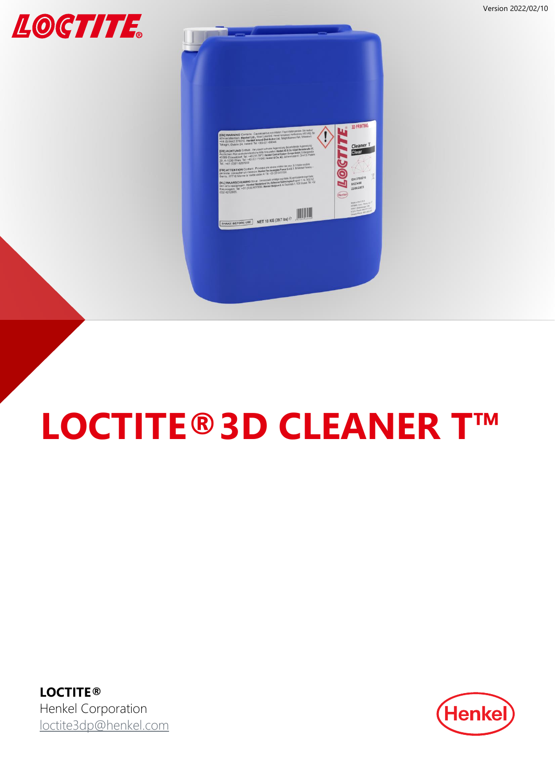



# **LOCTITE®3D CLEANER T™**

**LOCTITE®** Henkel Corporation [loctite3dp@henkel.com](mailto:loctite3dp@henkel.com)

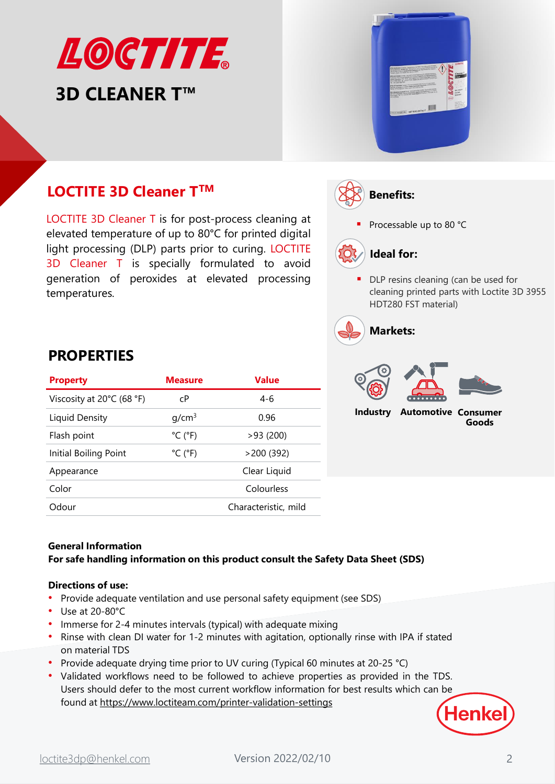# LOCTITE **3D CLEANER T™**



# **LOCTITE 3D Cleaner T<sup>TM</sup>**  $(\overrightarrow{\text{R}})$  **Benefits:**

LOCTITE 3D Cleaner T is for post-process cleaning at elevated temperature of up to 80°C for printed digital light processing (DLP) parts prior to curing. LOCTITE 3D Cleaner T is specially formulated to avoid generation of peroxides at elevated processing temperatures.

Processable up to 80 °C



■ DLP resins cleaning (can be used for cleaning printed parts with Loctite 3D 3955 HDT280 FST material)





**PROPERTIES**

| <b>Property</b>           | <b>Measure</b>               | Value                |
|---------------------------|------------------------------|----------------------|
| Viscosity at 20°C (68 °F) | сP                           | $4-6$                |
| Liquid Density            | q/cm <sup>3</sup>            | 0.96                 |
| Flash point               | $^{\circ}$ C ( $^{\circ}$ F) | >93(200)             |
| Initial Boiling Point     | $^{\circ}$ C ( $^{\circ}$ F) | >200(392)            |
| Appearance                |                              | Clear Liquid         |
| Color                     |                              | Colourless           |
| Odour                     |                              | Characteristic, mild |
|                           |                              |                      |

## **General Information For safe handling information on this product consult the Safety Data Sheet (SDS)**

## **Directions of use:**

- Provide adequate ventilation and use personal safety equipment (see SDS)
- Use at 20-80°C
- Immerse for 2-4 minutes intervals (typical) with adequate mixing
- Rinse with clean DI water for 1-2 minutes with agitation, optionally rinse with IPA if stated on material TDS
- Provide adequate drying time prior to UV curing (Typical 60 minutes at 20-25 °C)
- Validated workflows need to be followed to achieve properties as provided in the TDS. Users should defer to the most current workflow information for best results which can be found at <https://www.loctiteam.com/printer-validation-settings>

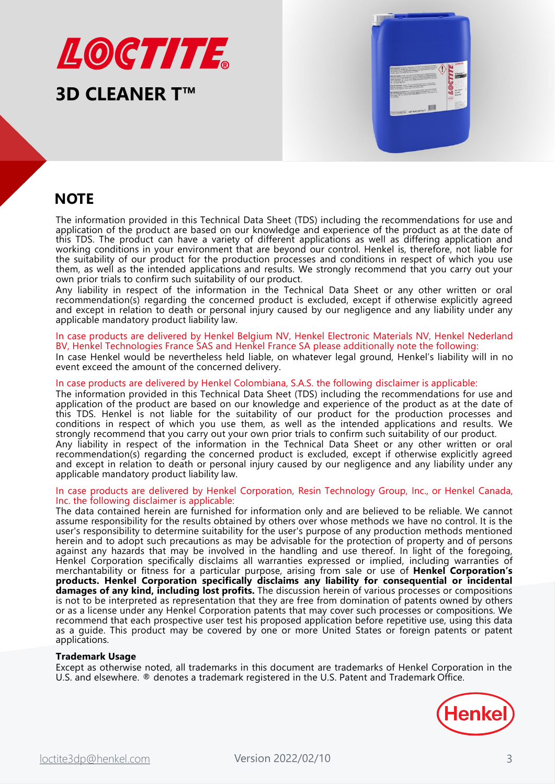

# **3D CLEANER T™**



# **NOTE**

The information provided in this Technical Data Sheet (TDS) including the recommendations for use and application of the product are based on our knowledge and experience of the product as at the date of this TDS. The product can have a variety of different applications as well as differing application and working conditions in your environment that are beyond our control. Henkel is, therefore, not liable for the suitability of our product for the production processes and conditions in respect of which you use them, as well as the intended applications and results. We strongly recommend that you carry out your own prior trials to confirm such suitability of our product.

Any liability in respect of the information in the Technical Data Sheet or any other written or oral recommendation(s) regarding the concerned product is excluded, except if otherwise explicitly agreed and except in relation to death or personal injury caused by our negligence and any liability under any applicable mandatory product liability law.

#### In case products are delivered by Henkel Belgium NV, Henkel Electronic Materials NV, Henkel Nederland BV, Henkel Technologies France SAS and Henkel France SA please additionally note the following:

In case Henkel would be nevertheless held liable, on whatever legal ground, Henkel's liability will in no event exceed the amount of the concerned delivery.

#### In case products are delivered by Henkel Colombiana, S.A.S. the following disclaimer is applicable:

The information provided in this Technical Data Sheet (TDS) including the recommendations for use and application of the product are based on our knowledge and experience of the product as at the date of this TDS. Henkel is not liable for the suitability of our product for the production processes and conditions in respect of which you use them, as well as the intended applications and results. We strongly recommend that you carry out your own prior trials to confirm such suitability of our product.

Any liability in respect of the information in the Technical Data Sheet or any other written or oral recommendation(s) regarding the concerned product is excluded, except if otherwise explicitly agreed and except in relation to death or personal injury caused by our negligence and any liability under any applicable mandatory product liability law.

#### In case products are delivered by Henkel Corporation, Resin Technology Group, Inc., or Henkel Canada, Inc. the following disclaimer is applicable:

The data contained herein are furnished for information only and are believed to be reliable. We cannot assume responsibility for the results obtained by others over whose methods we have no control. It is the user's responsibility to determine suitability for the user's purpose of any production methods mentioned herein and to adopt such precautions as may be advisable for the protection of property and of persons against any hazards that may be involved in the handling and use thereof. In light of the foregoing, Henkel Corporation specifically disclaims all warranties expressed or implied, including warranties of merchantability or fitness for a particular purpose, arising from sale or use of **Henkel Corporation's products. Henkel Corporation specifically disclaims any liability for consequential or incidental damages of any kind, including lost profits.** The discussion herein of various processes or compositions is not to be interpreted as representation that they are free from domination of patents owned by others or as a license under any Henkel Corporation patents that may cover such processes or compositions. We recommend that each prospective user test his proposed application before repetitive use, using this data as a guide. This product may be covered by one or more United States or foreign patents or patent applications.

### **Trademark Usage**

Except as otherwise noted, all trademarks in this document are trademarks of Henkel Corporation in the U.S. and elsewhere. ® denotes a trademark registered in the U.S. Patent and Trademark Office.